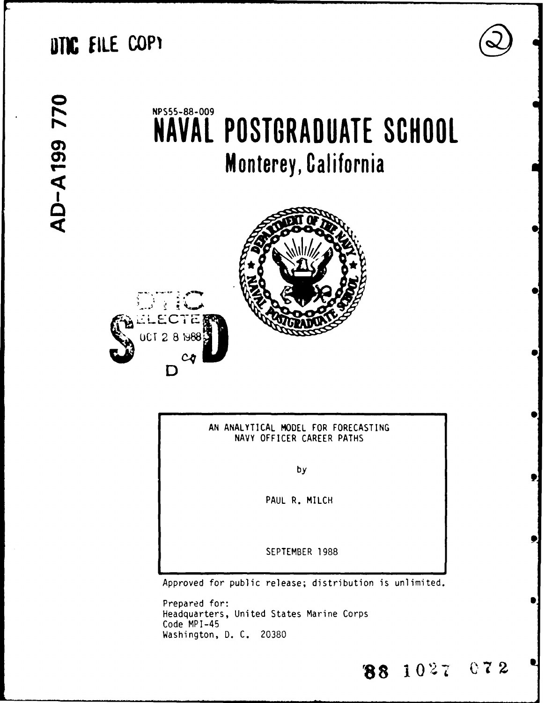# **DTIC FILE COP1**

**0**  $\blacksquare$ **I**

# NPS55-88-009 **NAVAL POSTGRADUATE SCHOOL Monterey, California**





AN ANALYTICAL MODEL FOR FORECASTING NAVY OFFICER CAREER PATHS

**S**

**188 1027 072** 

by

PAUL R. MILCH

SEPTEMBER 1988

Approved for public release; distribution is unlimited.

Prepared for: Headquarters, United States Marine Corps Code MPI-45 Washington, **D.** C. 20380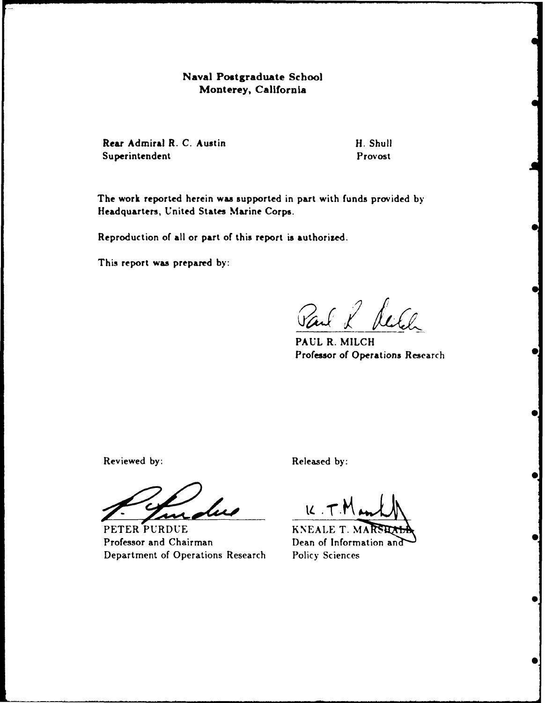### **Naval Postgraduate School Monterey, California**

**Rear Admiral R. C. Austin H. Shull H. Shull** Superintendent Provost

The work reported herein was supported in part with funds provided **by** Headquarters, United States Marine Corps.

Reproduction of all or part of this report is authorized.

This report was prepared **by:**

Paul & Reich

PAUL R. MILCH **Professor** of Operations Research

Reviewed by: **Released by: Released by:** 

**PETER PURDUE KNEALE T. M.** Professor and Chairman Dean of Information and Department of Operations Research Policy Sciences

 $\mathcal{U}$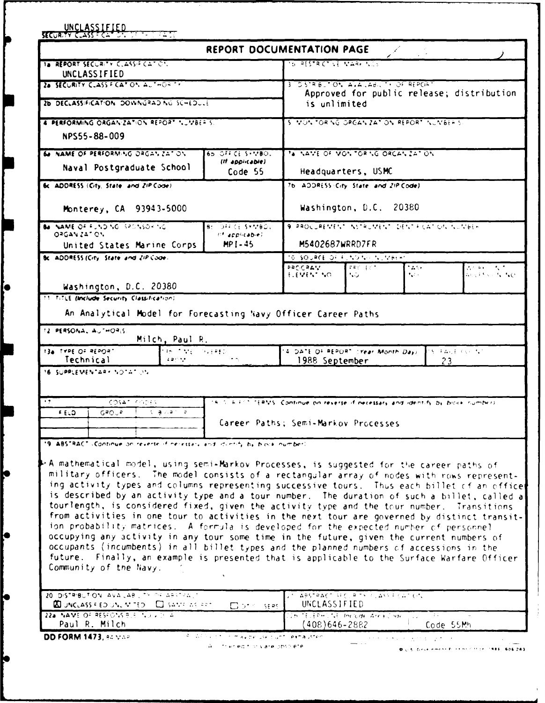|                                                                                                                                                                                                                                                                                                                                                                                                                                                                                                                                                                                                                                                                                                                                                                                                                                                                                                                                                                                                                                                                                                                        |                                                              | REPORT DOCUMENTATION PAGE                                                          |                                                       |                                                             |                                                  |                                                                  |  |  |  |
|------------------------------------------------------------------------------------------------------------------------------------------------------------------------------------------------------------------------------------------------------------------------------------------------------------------------------------------------------------------------------------------------------------------------------------------------------------------------------------------------------------------------------------------------------------------------------------------------------------------------------------------------------------------------------------------------------------------------------------------------------------------------------------------------------------------------------------------------------------------------------------------------------------------------------------------------------------------------------------------------------------------------------------------------------------------------------------------------------------------------|--------------------------------------------------------------|------------------------------------------------------------------------------------|-------------------------------------------------------|-------------------------------------------------------------|--------------------------------------------------|------------------------------------------------------------------|--|--|--|
| 1a REPORT SECURITY CLASSIFICATION.                                                                                                                                                                                                                                                                                                                                                                                                                                                                                                                                                                                                                                                                                                                                                                                                                                                                                                                                                                                                                                                                                     |                                                              |                                                                                    | <u>YSTRESTRICTIVE MARKINGS</u>                        |                                                             |                                                  |                                                                  |  |  |  |
| UNCLASSIFIED<br>2a SECURITY CLASS F.CAT.ON AUTHOR TE                                                                                                                                                                                                                                                                                                                                                                                                                                                                                                                                                                                                                                                                                                                                                                                                                                                                                                                                                                                                                                                                   |                                                              |                                                                                    | 3 DISTRIBUTION AVAILABLET OF REPORT                   |                                                             |                                                  |                                                                  |  |  |  |
|                                                                                                                                                                                                                                                                                                                                                                                                                                                                                                                                                                                                                                                                                                                                                                                                                                                                                                                                                                                                                                                                                                                        |                                                              |                                                                                    |                                                       |                                                             |                                                  | Approved for public release; distribution                        |  |  |  |
| 26 DECLASSIFICATION DOWNGRAD NO SCHEDULE                                                                                                                                                                                                                                                                                                                                                                                                                                                                                                                                                                                                                                                                                                                                                                                                                                                                                                                                                                                                                                                                               |                                                              |                                                                                    | is unlimited                                          |                                                             |                                                  |                                                                  |  |  |  |
| 4 PERFORMING ORGANIZATION REPORT NUMBER 5.                                                                                                                                                                                                                                                                                                                                                                                                                                                                                                                                                                                                                                                                                                                                                                                                                                                                                                                                                                                                                                                                             |                                                              |                                                                                    | 5 MONTORING OPGANIZATION REPORT INJINGERIST           |                                                             |                                                  |                                                                  |  |  |  |
| NPS55-88-009                                                                                                                                                                                                                                                                                                                                                                                                                                                                                                                                                                                                                                                                                                                                                                                                                                                                                                                                                                                                                                                                                                           |                                                              |                                                                                    |                                                       |                                                             |                                                  |                                                                  |  |  |  |
| 60 NAME OF PERFORMING ORGANIZATION                                                                                                                                                                                                                                                                                                                                                                                                                                                                                                                                                                                                                                                                                                                                                                                                                                                                                                                                                                                                                                                                                     |                                                              | 65.077C1.57780.                                                                    | 7a NAME OF MONTORNG ORCANZATION                       |                                                             |                                                  |                                                                  |  |  |  |
| Naval Postgraduate School                                                                                                                                                                                                                                                                                                                                                                                                                                                                                                                                                                                                                                                                                                                                                                                                                                                                                                                                                                                                                                                                                              |                                                              | (If applicable)<br>Code 55                                                         |                                                       | Headquarters, USMC                                          |                                                  |                                                                  |  |  |  |
| 6c ADDRESS (City, State, and ZIP Code)                                                                                                                                                                                                                                                                                                                                                                                                                                                                                                                                                                                                                                                                                                                                                                                                                                                                                                                                                                                                                                                                                 |                                                              |                                                                                    | 76. ADDRESS (City, State, and ZIP Code).              |                                                             |                                                  |                                                                  |  |  |  |
|                                                                                                                                                                                                                                                                                                                                                                                                                                                                                                                                                                                                                                                                                                                                                                                                                                                                                                                                                                                                                                                                                                                        |                                                              |                                                                                    |                                                       |                                                             |                                                  |                                                                  |  |  |  |
| Monterey, CA 93943-5000                                                                                                                                                                                                                                                                                                                                                                                                                                                                                                                                                                                                                                                                                                                                                                                                                                                                                                                                                                                                                                                                                                |                                                              |                                                                                    |                                                       | Washington, D.C. 20380                                      |                                                  |                                                                  |  |  |  |
| Be NAME OF FUNDING SPONSORING                                                                                                                                                                                                                                                                                                                                                                                                                                                                                                                                                                                                                                                                                                                                                                                                                                                                                                                                                                                                                                                                                          |                                                              | <b>B: 0FF CE SYMBOL</b>                                                            | 9 PROCUREMENT INSTRUMENT DENTRICATION NUMBER          |                                                             |                                                  |                                                                  |  |  |  |
| 03GAN ZATION                                                                                                                                                                                                                                                                                                                                                                                                                                                                                                                                                                                                                                                                                                                                                                                                                                                                                                                                                                                                                                                                                                           |                                                              | the applicable).<br>$MP1 - 45$                                                     | M5402687WRRD7FR                                       |                                                             |                                                  |                                                                  |  |  |  |
| United States Marine Corps<br>Bc. ADDRESS (City, State, and ZIP Code).                                                                                                                                                                                                                                                                                                                                                                                                                                                                                                                                                                                                                                                                                                                                                                                                                                                                                                                                                                                                                                                 |                                                              |                                                                                    | TO SOURCE OF FUNDING NUMBER                           |                                                             |                                                  |                                                                  |  |  |  |
|                                                                                                                                                                                                                                                                                                                                                                                                                                                                                                                                                                                                                                                                                                                                                                                                                                                                                                                                                                                                                                                                                                                        |                                                              |                                                                                    | PROCRAIN                                              | $\mathbf{F} \mathbf{F} \in \mathcal{A} \subset \mathcal{F}$ | * 25 S                                           | 古不平的 不成了                                                         |  |  |  |
|                                                                                                                                                                                                                                                                                                                                                                                                                                                                                                                                                                                                                                                                                                                                                                                                                                                                                                                                                                                                                                                                                                                        |                                                              |                                                                                    | もぼりもん へのこ                                             | NG                                                          | $\mathcal{F}_\mathbf{q}(\mathcal{E},\mathbf{q})$ | ちくそう いっちょう                                                       |  |  |  |
| Washington, D.C. 20380<br><b>11 TitlE (Include Security Classification)</b>                                                                                                                                                                                                                                                                                                                                                                                                                                                                                                                                                                                                                                                                                                                                                                                                                                                                                                                                                                                                                                            |                                                              |                                                                                    |                                                       |                                                             |                                                  |                                                                  |  |  |  |
| An Analytical Model for Forecasting Navy Officer Career Paths<br>Technical                                                                                                                                                                                                                                                                                                                                                                                                                                                                                                                                                                                                                                                                                                                                                                                                                                                                                                                                                                                                                                             | Milch, Paul R.<br>tas fango Sve≆fo<br>$4.2 \, \rm{GeV}^{-1}$ |                                                                                    | 14. DATE OF REPORT CYEAR Month Days<br>1988 September |                                                             |                                                  | $\mathbb{S}^1$ Taylor ( $\mathbb{S}^1$ ) of $\mathbb{S}^1$<br>23 |  |  |  |
| 12 PERSONAL AUTHORIS<br>13a TYPE OF REPORT<br>16 SUPPLEMENTARY NOTATION                                                                                                                                                                                                                                                                                                                                                                                                                                                                                                                                                                                                                                                                                                                                                                                                                                                                                                                                                                                                                                                |                                                              |                                                                                    |                                                       |                                                             |                                                  |                                                                  |  |  |  |
|                                                                                                                                                                                                                                                                                                                                                                                                                                                                                                                                                                                                                                                                                                                                                                                                                                                                                                                                                                                                                                                                                                                        |                                                              |                                                                                    |                                                       |                                                             |                                                  |                                                                  |  |  |  |
| COSAT CODES                                                                                                                                                                                                                                                                                                                                                                                                                                                                                                                                                                                                                                                                                                                                                                                                                                                                                                                                                                                                                                                                                                            |                                                              | 18.5 F.F.C. TERMS. Continue on reverse if necessary and identify by bicke number). |                                                       |                                                             |                                                  |                                                                  |  |  |  |
| <b>ELD</b><br>GROUP - 1 -                                                                                                                                                                                                                                                                                                                                                                                                                                                                                                                                                                                                                                                                                                                                                                                                                                                                                                                                                                                                                                                                                              | is given el                                                  |                                                                                    | Career Paths; Semi-Markov Processes                   |                                                             |                                                  |                                                                  |  |  |  |
|                                                                                                                                                                                                                                                                                                                                                                                                                                                                                                                                                                                                                                                                                                                                                                                                                                                                                                                                                                                                                                                                                                                        |                                                              |                                                                                    |                                                       |                                                             |                                                  |                                                                  |  |  |  |
|                                                                                                                                                                                                                                                                                                                                                                                                                                                                                                                                                                                                                                                                                                                                                                                                                                                                                                                                                                                                                                                                                                                        |                                                              |                                                                                    |                                                       |                                                             |                                                  |                                                                  |  |  |  |
|                                                                                                                                                                                                                                                                                                                                                                                                                                                                                                                                                                                                                                                                                                                                                                                                                                                                                                                                                                                                                                                                                                                        |                                                              |                                                                                    |                                                       |                                                             |                                                  |                                                                  |  |  |  |
|                                                                                                                                                                                                                                                                                                                                                                                                                                                                                                                                                                                                                                                                                                                                                                                                                                                                                                                                                                                                                                                                                                                        |                                                              |                                                                                    |                                                       |                                                             |                                                  |                                                                  |  |  |  |
|                                                                                                                                                                                                                                                                                                                                                                                                                                                                                                                                                                                                                                                                                                                                                                                                                                                                                                                                                                                                                                                                                                                        |                                                              |                                                                                    |                                                       |                                                             |                                                  |                                                                  |  |  |  |
|                                                                                                                                                                                                                                                                                                                                                                                                                                                                                                                                                                                                                                                                                                                                                                                                                                                                                                                                                                                                                                                                                                                        |                                                              |                                                                                    |                                                       |                                                             |                                                  |                                                                  |  |  |  |
|                                                                                                                                                                                                                                                                                                                                                                                                                                                                                                                                                                                                                                                                                                                                                                                                                                                                                                                                                                                                                                                                                                                        |                                                              |                                                                                    |                                                       |                                                             |                                                  |                                                                  |  |  |  |
|                                                                                                                                                                                                                                                                                                                                                                                                                                                                                                                                                                                                                                                                                                                                                                                                                                                                                                                                                                                                                                                                                                                        |                                                              |                                                                                    |                                                       |                                                             |                                                  |                                                                  |  |  |  |
|                                                                                                                                                                                                                                                                                                                                                                                                                                                                                                                                                                                                                                                                                                                                                                                                                                                                                                                                                                                                                                                                                                                        |                                                              |                                                                                    |                                                       |                                                             |                                                  |                                                                  |  |  |  |
|                                                                                                                                                                                                                                                                                                                                                                                                                                                                                                                                                                                                                                                                                                                                                                                                                                                                                                                                                                                                                                                                                                                        |                                                              |                                                                                    |                                                       |                                                             |                                                  |                                                                  |  |  |  |
|                                                                                                                                                                                                                                                                                                                                                                                                                                                                                                                                                                                                                                                                                                                                                                                                                                                                                                                                                                                                                                                                                                                        |                                                              |                                                                                    |                                                       |                                                             |                                                  |                                                                  |  |  |  |
|                                                                                                                                                                                                                                                                                                                                                                                                                                                                                                                                                                                                                                                                                                                                                                                                                                                                                                                                                                                                                                                                                                                        |                                                              |                                                                                    |                                                       |                                                             |                                                  |                                                                  |  |  |  |
| 19. ABSTRACT (Continue on reverse if necessary and identify by block number)<br>P.A mathematical model, using semi-Markov Processes, is suggested for the career paths of<br>military officers. The model consists of a rectangular array of nodes with rows represent-<br>ing activity types and columns representing successive tours. Thus each billet of an office<br>is described by an activity type and a tour number. The duration of such a billet, called a<br>tourlength, is considered fixed, given the activity type and the tour number. Transitions<br>from activities in one tour to activities in the next tour are governed by distinct transit-<br>ion probability matrices. A formula is developed for the expected number of personnel<br>occupying any activity in any tour some time in the future, given the current numbers of<br>occupants (incumbents) in all billet types and the planned numbers of accessions in the<br>future. Finally, an example is presented that is applicable to the Surface Warfare Officer<br>Community of the Navy.<br>20 DISTRIBUTION AVAILAB LITY OF ABSTRACT |                                                              |                                                                                    |                                                       |                                                             |                                                  |                                                                  |  |  |  |
| <b>AD UNCLASS FIED UNLIN TED.</b> CO SAMPLING RET.<br>22a NAME OF RESPONSIBLE TO JUST A                                                                                                                                                                                                                                                                                                                                                                                                                                                                                                                                                                                                                                                                                                                                                                                                                                                                                                                                                                                                                                |                                                              | $\Box$ of $\triangleq$ sees                                                        | UNCLASSIFIED<br>IN TELEPHONE Include Arca Code        |                                                             | Tali                                             |                                                                  |  |  |  |

þ

p

þ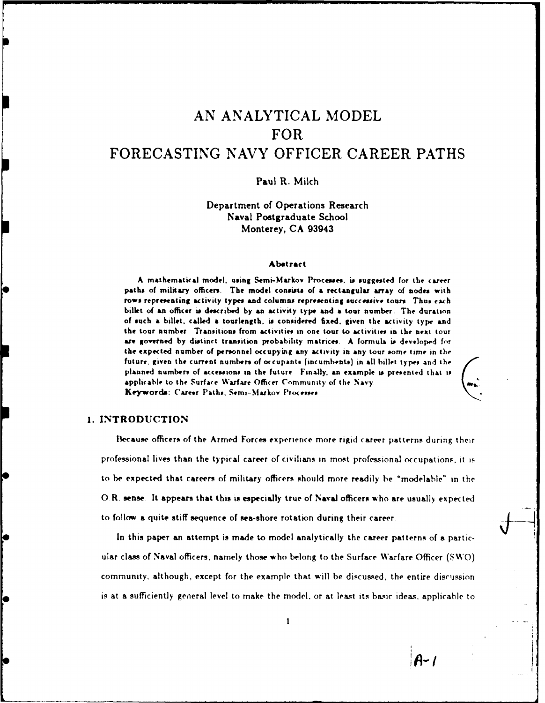## **AN** ANALYTICAL MODEL FOR FORECASTING **NAVY** OFFICER CAREER **PATHS**

#### Paul R. Milch

Department of Operations Research Naval Postgraduate School Monterey, **CA** 93943

#### **Abstract**

**A mathematical model, using Semi-Markov Processes, is suggested for the Career** paths. **of military officers. The model consist. of a rectaugular array of nodes with** rows representing activity types and columns representing successive tours. Thus each billet of **an** officer **is desicribed by an** activity **type and a** tour number. The duration of such **a** billet, called **a** tourlength. is considered fixed, given **the** activity type and the tour number Transitions from activities **in** one tour to activities in, the next tour are governed **by** distinct transition probability matrices. **A** formula is developed **for** the expected number of persnnel occupying any activity in any tour some time in the future, given the current numbers of occupants (incumbents) in all billet types and the planned numbers of accessions in the future. Finally, an example is presented that is applicable to the Surface Warfare Officer Community of the Navy. Keywords: Career Paths, Semi-Markov Processes

#### 1. **INTRODUCTION**

Because officers of the Armed Forces experience more rigid career patterns during their profe-sional lives than the typical career of civilians in most professional occupations, it **is** to **be** expected that careers of military officers should more readily be 'modelahle- in the 0 R. sense. It appears that this is especially true of **Naval** officers who are usually expected to follow a quite stiff sequence of sea-shore rotation during their career.

In this paper an attempt is made to model analytically the career patterns of a particular class of Naval officers, namely those who belong to the Surface Warfare Officer **(SWO)** community. although, except for the example that will be discussed, the entire discussion is at a sufficiently general level to make the model, or at least its **basic** ideas, applicable to

 $A - I$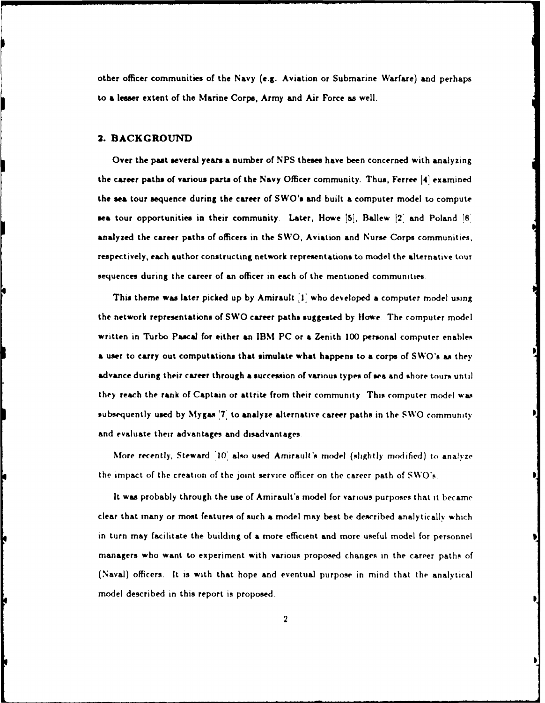other officer communities of the Navy (e.g. Aviation or Submarine Warfare) and perhaps to a lesser extent of the Marine Corps, Army and Air Force as well.

#### **3. BACKGROUND**

Over the past several years **a** number of **NPS** theses have been concerned with analyzing the career paths of various parts of the Navy Officer community. Thus, Ferree **14j** examined the sea tour sequence during the career of SWO's and built a computer model to compute **sea** tour opportunities in their community. Later, Howe **151,** Ballew **12'** and Poland **I8** analyzed the career paths of officers in the SWO, Aviation and Nurse Corps communities, respectively, each author constructing network representations to model the alternative tour sequences during the career of an officer in each of the mentioned communities

This theme was later picked up **by** Amirault **'1'** who developed **a** computer model using the network representations of SWO career paths suggested by Howe. The computer model written in Turbo Pascal for either an **IBM PC** or a Zenith **100** personal computer enables **a** user to carry out computations that simulate what happens to a corps of SWO's *as* they advance during their career through **a** succession of various types of sea and shore tours until they reach the rank of Captain or attrite from their community This computer model was subsequently used **by Mygas '7'** to analyze alternative career paths in the **SWO** community and evaluate their advantages and disadvantages

More recently, Steward **'10'** also used Amirault's model (slightly modified) to analyze the impact of the creation of the joint service officer on the career path of **SWO's**

**It** was probably through the use of Amirault's model for various purposes that it became clear that many or most features of such **a** model may best be described analytically which in turn may facilitate the building of **a** more efficient and more useful model for personnel managers who want to experiment with various proposed changes in the career paths of (Naval) officers. It **is** with that hope and eventual purpose in mind that the analytical model described in this report is proposed.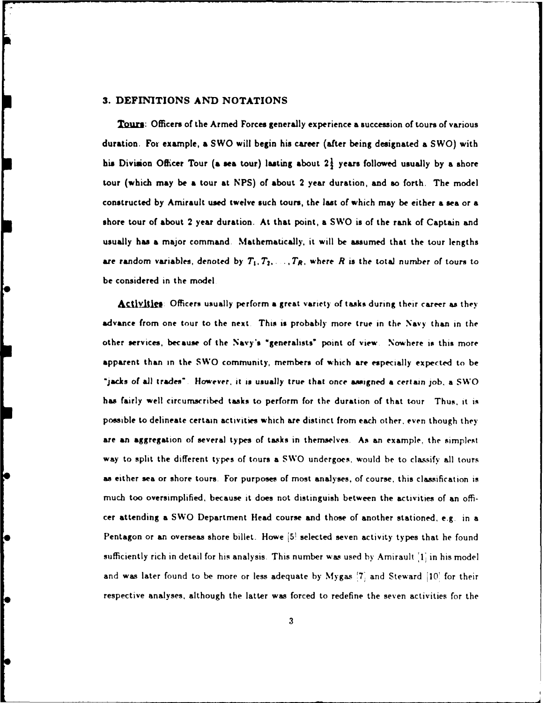#### **3. DEFINITIONS** AND **NOTATIONS**

**Tours:** Officers of the Armed Forces generally experience a succession of tours of various duration. **For** example, **a** SWO will begin his career (after being designated a SWO) with his Division Officer Tour (a sea tour) lasting about 2<sup>1</sup> years followed usually by a shore tour (which may be a tour at **NPS)** of about 2 year duration, and **so** forth. The model constructed **by** Amirault used twelve such tours, the last of which may be either a sea or a shore tour of about 2 year duration. At that point, a SWO **is** of the rank of Captain and usually has **a** major command Mathematically, it will be assumed that the tour lengths are random variables, denoted by  $T_1, T_2, \ldots, T_R$ , where  $R$  is the total number of tours to be considered in the model

Activities: Officers usually perform a great variety of tasks during their career as they advance from one tour to the next. This **is** probably more true in the Navy than in the other services, because of the Navy's "generahsts' point of view Nowhere **is** this more apparent than in the SWO community, members of which are especially expected to be "jacks of **all** trades" However, it is usually true that once asigned a certain **job.** a SWO has fairly well circumscribed tasks to perform for the duration of that tour Thus, it is possible to delineate certain activities which are distinct from each other, even though they are an aggregation of several types of tasks in themselves. As an example, the simplest way to split the different types of tours a SWO undergoes, would be to classify **all** tours as either sea or shore tours. For purposes of most analyses, of course, this classification is much too oversimplified, because it does not distinguish between the activities of an officer attending a SWO Department Head course and those of another stationed, e.g. in a Pentagon or an overseas shore billet. Howe **J51** selected seven activity types that he found sufficiently rich in detail for his analysis. This number was used by Amirault **'1'** in his model and was later found to be more or less adequate **by** Mygas **'7'** and Steward **jI0'** for their respective analyses, although the latter was forced to redefine the seven activities for the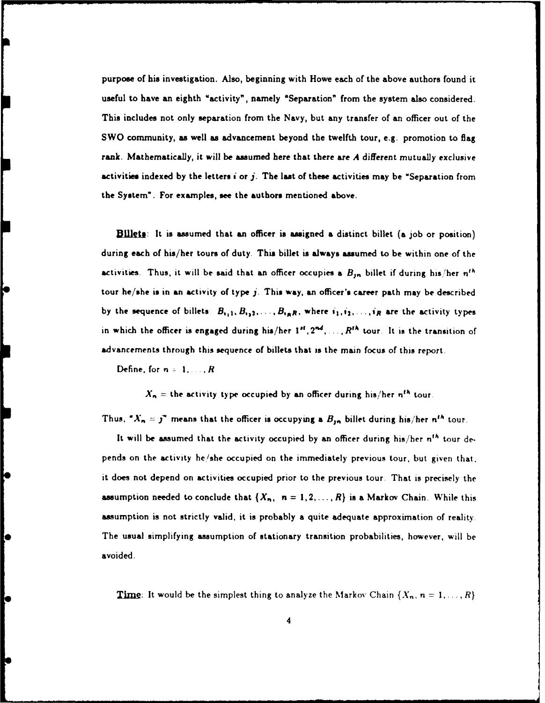purpose of his investigation. Also, beginning with Howe each of the above authors found it useful to have an eighth "activity", namely "Separation" from the system **also** considered. This includes not only separation from the Navy, but any transfer of an officer out of the SWO community, as well as advancement beyond the twelfth tour, e.g. promotion to flag rank. Mathematically, it will be assumed here that there are **A** different mutually exclusive activities indexed **by** the letters **I** or **j.** The last of these activities may be "Separation from the System". For examples, see the authors mentioned above.

**Billets:** It is assumed that an officer is assigned a distinct billet (a job or position) during each of his/her tours of duty. This billet is always assumed to be within one of the activities. Thus, it will be said that an officer occupies a  $B_{jn}$  billet if during his/her  $n^{th}$ tour he/she is in an activity of type j. This way, an officer's career path may be described by the sequence of billets  $B_{i,1}, B_{i,2}, \ldots, B_{i_R R}$ , where  $i_1, i_2, \ldots, i_R$  are the activity types in which the officer is engaged during his/her  $1^{st}$ ,  $2^{nd}$ , ...,  $R^{th}$  tour. It is the transition of advancements through this sequence of billets that **is** the main focus of this report.

Define, for  $n = 1, \ldots, R$ 

Ю

 $X_n$  = the activity type occupied by an officer during his/her  $n^{th}$  tour.

Thus,  $''\lambda_n = j''$  means that the officer is occupying a  $B_{jn}$  billet during his/her  $n^{th}$  tour.

It will be assumed that the activity occupied **by** an officer during his/her n"h tour depends on the activity he/she occupied on the immediately previous tour, but given that. it does not depend on activities occupied prior to the previous tour That is precisely the assumption needed to conclude that  $\{X_n, n = 1, 2, ..., R\}$  is a Markov Chain. While this assumption is not strictly valid, it is probably a quite adequate approximation of reality. The usual simplifying assumption of stationary transition probabilities, however, will be avoided.

**Time:** It would be the simplest thing to analyze the Markov Chain  $\{X_n, n = 1, \ldots, R\}$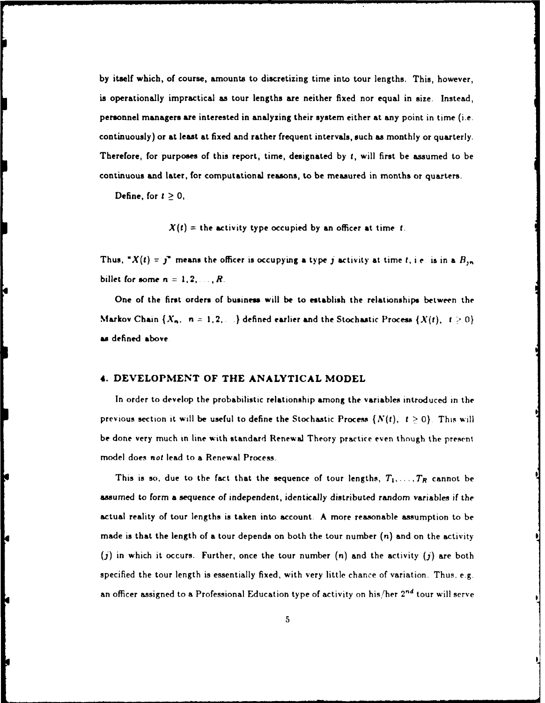**by** itself which, of course, amounts to discretizing time into tour lengths. This, however, is operationally impractical as tour lengths are neither fixed nor equal in size. Instead, personnel managers are interested in analyzing their system either at any point in time (i.e. continuously) or at least at fixed and rather frequent intervals, such as monthly or quarterly. Therefore, for purposes of this report, time, designated **by t,** will first be assumed to be continuous and later, for computational reasons, to be measured in months or quarters.

Define, for  $t \geq 0$ ,

ŀ

ŀ

 $X(t)$  = the activity type occupied by an officer at time t.

Thus,  $''X(t) = j''$  means the officer is occupying a type j activity at time *t*, *i.e.* is in a  $B_{jn}$ billet for some  $n = 1, 2, \ldots, R$ .

One of the first orders of business will be to establish the relationships between the Markov Chain  $\{X_n, n = 1, 2, ...\}$  defined earlier and the Stochastic Process  $\{X(t), t \geq 0\}$ *as* defined above

#### 4. **DEVELOPMENT** OF THE **ANALYTICAL** MODEL

In order to develop the probabilistic relationship among the variables introduced in the previous section it will be useful to define the Stochastic Process  $\{N(t), t \ge 0\}$ . This will **be** done very much in line with standard Renewal Theory practice even though the present model does not lead to a Renewal Process.

This is so, due to the fact that the sequence of tour lengths,  $T_1, \ldots, T_R$  cannot be assumed to form a sequence of independent, identically distributed random variables **if** the actual reality of tour lengths is taken into account. A more reasonable assumption to be made is that the length of a tour depends on both the tour number *(n)* and on the activity (j) in which it occurs. Further, once the tour number **(n)** and the activity (j) are both specified the tour length is essentially fixed, with very little chance of variation. Thus, e.g. an officer assigned to a Professional Education type of activity on his/her **2nd** tour will serve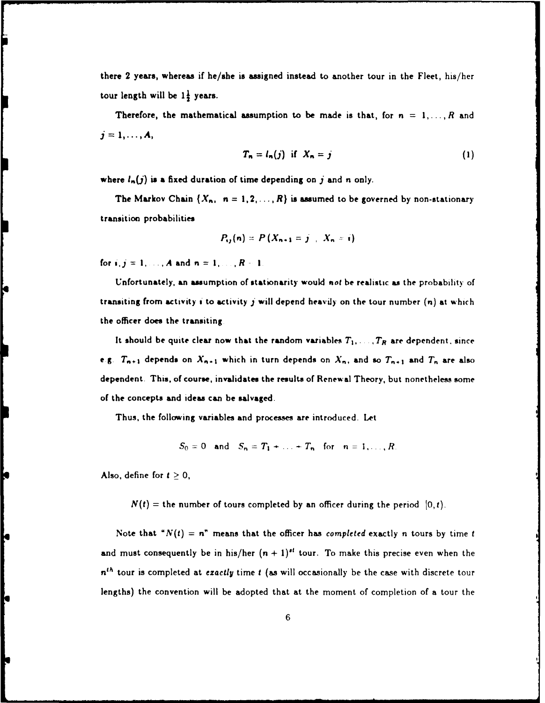there 2 years, whereas if he/she is assigned instead to another tour in the Fleet, his/her tour length will be  $1\frac{1}{2}$  years.

Therefore, the mathematical assumption to be made is that, for  $n = 1, ..., R$  and  $j=1,\ldots,A$ 

$$
T_n = l_n(j) \text{ if } X_n = j \tag{1}
$$

where  $l_n(j)$  is a fixed duration of time depending on j and *n* only.

The Markov Chain  $\{X_n, n = 1, 2, ..., R\}$  is assumed to be governed by non-stationary transition probabilities

$$
P_{ij}(n) = P(X_{n+1} = j \mid X_n = i)
$$

for  $i, j = 1, ..., A$  and  $n = 1, ..., R-1$ .

Unfortunately, an assumption **of** stationarity would not be realistic as the probability of transiting from activity *i* to activity **j** will depend heavily on the tour number (n) at which the officer does the transiting

It should be quite clear now that the random variables  $T_1, \ldots, T_R$  are dependent, since e.g.  $T_{n+1}$  depends on  $X_{n+1}$  which in turn depends on  $X_n$ , and so  $T_{n+1}$  and  $T_n$  are also dependent. This, of course, invalidates the results **of** Renewal Theory, but nonetheless some of the concepts and ideas can be salvaged.

Thus, the following variables and processes are introduced. Let

$$
S_0 = 0
$$
 and  $S_n = T_1 + ... + T_n$  for  $n = 1, ..., R$ .

Also, define for  $t \geq 0$ ,

ķ

 $N(t)$  = the number of tours completed by an officer during the period  $[0,t)$ .

Note that  $N(t) = n^n$  means that the officer has completed exactly *n* tours by time *t* and must consequently be in his/her  $(n + 1)^{st}$  tour. To make this precise even when the  $n<sup>th</sup>$  tour is completed at *exactly* time t (as will occasionally be the case with discrete tour lengths) the convention will be adopted that at the moment of completion of a tour the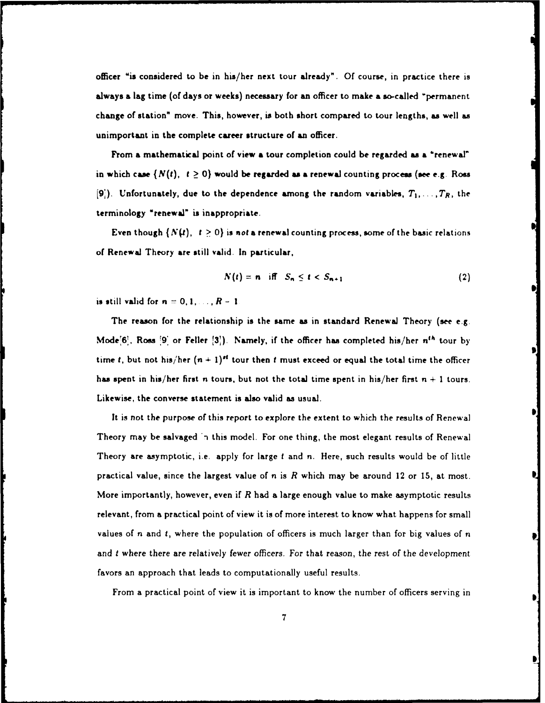officer "is considered to be in his/her next tour already". **Of** course, in practice there **is** always a lag time (of days or weeks) necessary for an officer to make a so-called "permanent change of station" move. This, however, is both short compared to tour lengths, as well as unimportant in the complete career structure of an officer.

From a mathematical point of view a tour completion could be regarded **as** a "renewal" in which case  $\{N(t), t \geq 0\}$  would be regarded as a renewal counting process (see e.g. Ross  $[9]$ . Unfortunately, due to the dependence among the random variables,  $T_1, \ldots, T_R$ , the terminology "renewa" is inappropriate.

Even though  $\{N(t), t \geq 0\}$  is not a renewal counting process, some of the basic relations of Renewal Theory **are** still valid. In particular,

$$
N(t) = n \quad \text{iff} \quad S_n \leq t < S_{n+1} \tag{2}
$$

**is still valid for**  $n = 0, 1, ..., R - 1$ 

The reason for the relationship is the same as in standard Renewal Theory **(see** e.g Moder6', Ross **9'** or Feller **31).** Namely, if the officer has completed his/her *n"* tour **by** time *t*, but not his/her  $(n + 1)$ <sup>st</sup> tour then *t* must exceed or equal the total time the officer has spent in his/her first n tours, but not the total time spent in his/her first  $n + 1$  tours. Likewise, the converse statement is also valid as usual.

It is not the purpose of this report to explore the extent to which the results of Renewal Theory may be salvaged in this model. For one thing, the most elegant results of Renewal Theory are asymptotic, i.e. apply for large *t* and n. Here, such results would be of little practical value, since the largest value of n is *R* which may be around 12 or **15,** at most. More importantly, however, even if *R* had a large enough value to make asymptotic results relevant, from a practical point of view it is of more interest to know what happens for small values of **n** and t, where the population of officers is much larger than for big values of n and t where there *are* relatively fewer officers. For that reason, the rest of the development favors an approach that leads to computationally useful results.

From a practical point of view it is important to know the number of officers serving in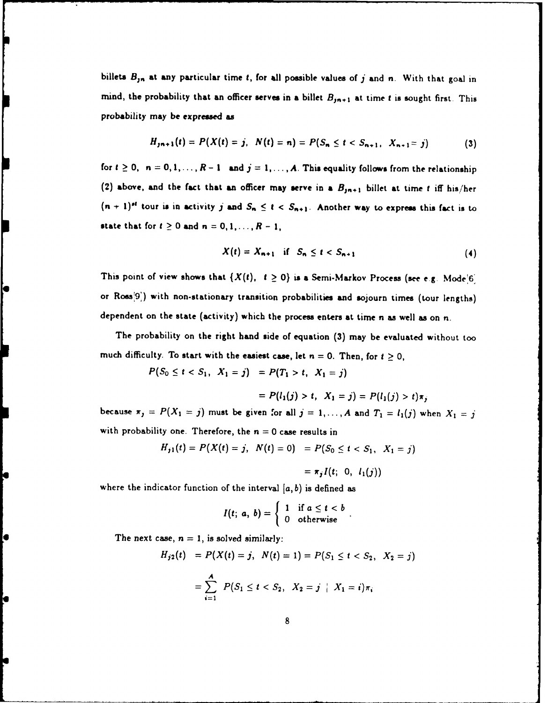billets *B,,* at any particular time **t,** for **all** possible values of **j** and *n.* With that goal **in** mind, the probability that an officer serves in a billet  $B_{jn+1}$  at time *t* is sought first. This probability may **be** expressed as

$$
H_{j(n+1)}(t) = P(X(t) = j, N(t) = n) = P(S_n \leq t < S_{n+1}, X_{n+1} = j) \tag{3}
$$

for  $t \ge 0$ ,  $n = 0, 1, \ldots, R-1$  and  $j = 1, \ldots, A$ . This equality follows from the relationship (2) above, and the fact that an officer may serve in a  $B_{jn+1}$  billet at time *t* iff his/her  $(n + 1)^{st}$  tour is in activity j and  $S_n \le t < S_{n+1}$ . Another way to express this fact is to state that for  $t \ge 0$  and  $n = 0, 1, ..., R - 1$ ,

$$
X(t) = X_{n+1} \quad \text{if} \quad S_n \leq t < S_{n+1} \tag{4}
$$

This point of view shows that  $\{X(t), t \ge 0\}$  is a Semi-Markov Process (see e.g. Mode<sup>'6'</sup>) or Ross<sup>[9]</sup>) with non-stationary transition probabilities and sojourn times (tour lengths) dependent on the state (activity) which the process enters at time n as well as on **n.**

The probability on the right hand side of equation **(3)** may be evaluated without too much difficulty. To start with the easiest case, let  $n = 0$ . Then, for  $t \ge 0$ ,<br> $P(S_0 \le t < S_1, X_1 = j) = P(T_1 > t, X_1 = j)$ 

$$
= P(l_1(j) > t, X_1 = j) = P(l_1(j) > t)\pi_j
$$

because  $\pi_j = P(X_1 = j)$  must be given for all  $j = 1, ..., A$  and  $T_1 = l_1(j)$  when  $X_1 = j$ with probability one. Therefore, the  $n = 0$  case results in

$$
H_{j1}(t) = P(X(t) = j, N(t) = 0) = P(S_0 \leq t < S_1, X_1 = j)
$$

$$
= \pi_j I(t; 0, l_1(j))
$$

where the indicator function of the interval  $[a, b)$  is defined as

$$
I(t; a, b) = \begin{cases} 1 & \text{if } a \leq t < b \\ 0 & \text{otherwise} \end{cases}.
$$

The next case,  $n = 1$ , is solved similarly:

$$
H_{j2}(t) = P(X(t) = j, N(t) = 1) = P(S_1 \le t < S_2, X_2 = j)
$$
\n
$$
= \sum_{i=1}^{A} P(S_1 \le t < S_2, X_2 = j \mid X_1 = i) \pi_i
$$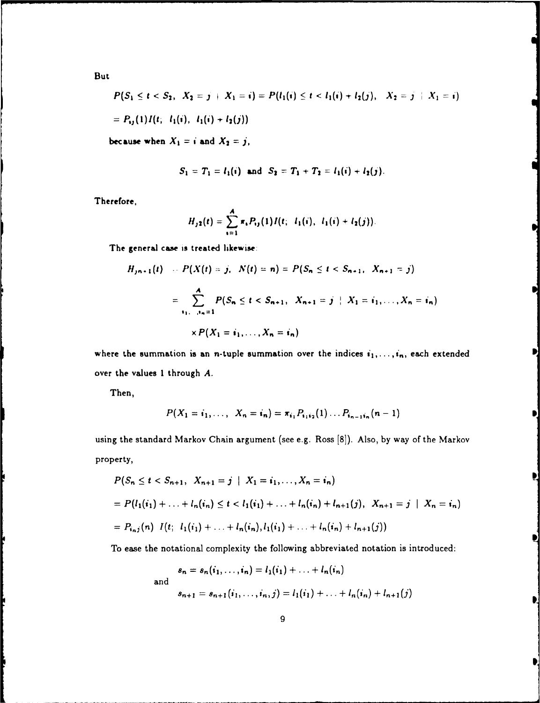But

$$
P(S_1 \leq t < S_2, X_2 = j + X_1 = i) = P(l_1(i) \leq t < l_1(i) + l_2(j), X_2 = j + X_1 = i)
$$
\n
$$
= P_{ij}(1)I(t; l_1(i), l_1(i) + l_2(j))
$$

because when  $X_1 = i$  and  $X_2 = j$ ,

$$
S_1 = T_1 = l_1(i)
$$
 and  $S_2 = T_1 + T_2 = l_1(i) + l_2(j)$ .

Therefore,

$$
H_{j2}(t) = \sum_{i=1}^{A} \pi_i P_{ij}(1) I(t; l_1(i), l_1(i) + l_2(j)).
$$

The general case is treated likewise:

$$
H_{j,n+1}(t) - P(X(t) = j, \ N(t) = n) = P(S_n \le t < S_{n+1}, \ X_{n+1} = j)
$$
\n
$$
= \sum_{i_1, \dots, i_n = 1}^{A} P(S_n \le t < S_{n+1}, \ X_{n+1} = j \mid X_1 = i_1, \dots, X_n = i_n)
$$
\n
$$
\times P(X_1 = j_1, \dots, X_n = j_n)
$$

where the summation is an n-tuple summation over the indices  $i_1,\ldots,i_n$ , each extended over the values 1 through *A.*

Then,

$$
P(X_1 = i_1, \ldots, X_n = i_n) = \pi_{i_1} P_{i_1 i_2}(1) \ldots P_{i_{n-1} i_n}(n-1)
$$

using the standard Markov Chain argument (see e.g. Ross [8]). Also, by way of the Markov property,

$$
P(S_n \leq t < S_{n+1}, X_{n+1} = j \mid X_1 = i_1, \dots, X_n = i_n)
$$
\n
$$
= P(l_1(i_1) + \dots + l_n(i_n) \leq t < l_1(i_1) + \dots + l_n(i_n) + l_{n+1}(j), X_{n+1} = j \mid X_n = i_n)
$$
\n
$$
= P_{i_n j}(n) \ I(t; \ l_1(i_1) + \dots + l_n(i_n), l_1(i_1) + \dots + l_n(i_n) + l_{n+1}(j))
$$

To ease the notational complexity the following abbreviated notation is introduced:

$$
s_n = s_n(i_1, ..., i_n) = l_1(i_1) + ... + l_n(i_n)
$$
  
and  

$$
s_{n+1} = s_{n+1}(i_1, ..., i_n, j) = l_1(i_1) + ... + l_n(i_n) + l_{n+1}(j)
$$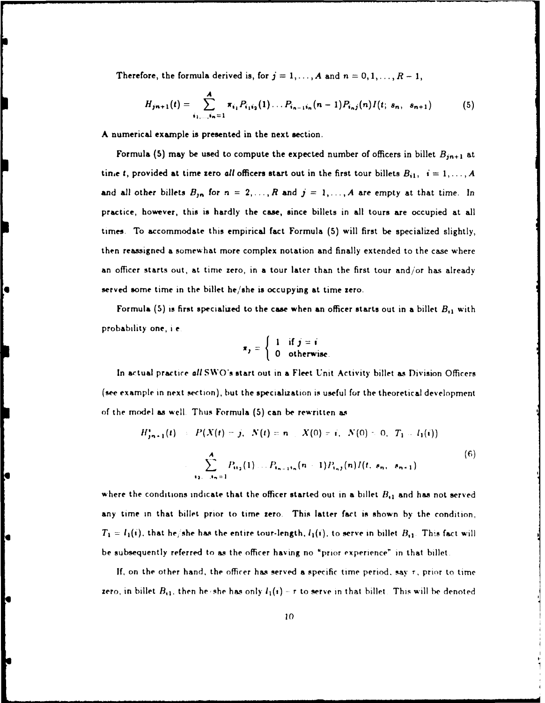Therefore, the formula derived is, for  $j = 1, ..., A$  and  $n = 0, 1, ..., R - 1$ ,

$$
H_{jn+1}(t) = \sum_{i_1,\ldots,i_n=1}^{A} \pi_{i_1} P_{i_1 i_2}(1) \ldots P_{i_{n-1} i_n}(n-1) P_{i_n j}(n) I(t; s_n, s_{n+1}) \tag{5}
$$

**A** numerical example is presented in the next section.

Formula (5) may be used to compute the expected number of officers in billet  $B_{jn+1}$  at tine t, provided at time zero all officers start out in the first tour billets  $B_{i1}$ ,  $i = 1, ..., A$ and all other billets  $B_{jn}$  for  $n = 2, ..., R$  and  $j = 1, ..., A$  are empty at that time. In practice, however, this is hardly the case, since billets in all tours are occupied at all times. To accommodate this empirical fact Formula **(5)** will first be specialized slightly, then reassigned a somewhat more complex notation and finally extended to the case where an officer starts out, at time zero, in **a** tour later than the first tour and/or has already served some time in the billet he/she is occupying at time zero.

Formula **(5)** is first specialized to the case when an officer starts out in a billet *B,1* with probability one, **i e I if** *<sup>i</sup>*

$$
\pi_j = \left\{ \begin{array}{ll} 1 & \text{if } j = i \\ 0 & \text{otherwise} \end{array} \right.
$$

In actual practice *all* SWO's start out in a Fleet Unit Activity billet as Division Officers (see example in next section), but the specialization is useful for the theoretical development of the model **as** well. Thus Formula **(5)** can be rewritten as

$$
H'_{j_{n+1}}(t) = P(X(t) = j, N(t) = n, X(0) = i, N(0) = 0, T_1 = l_1(i))
$$
  

$$
\sum_{i_2, j_2 = 1}^{A} P_{ii_2}(1) \dots P_{i_{n-1}i_n}(n-1) P_{i_nj}(n) I(t, s_n, s_{n+1})
$$

$$
(6)
$$

where the conditions indicate that the officer started out in a billet  $B_{11}$  and has not served any time in that billet prior to time zero. This latter fact is shown **by** the condition,  $T_1 = I_1(i)$ , that he, she has the entire tour-length,  $I_1(i)$ , to serve in billet  $B_{i1}$ . This fact will be subsequently referred to **as** the officer having no "prior experience" in that billet

lo

**If,** on the other hand, the officer **has** served a specific time period. say *r,* prior to time zero, in billet  $B_{11}$ , then he she has only  $I_1(i)$  – r to serve in that billet. This will be denoted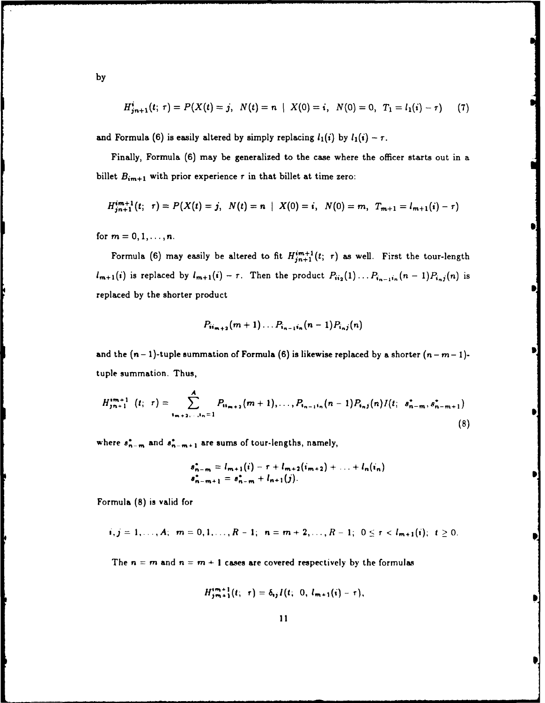$$
H_{jn+1}^{i}(t; \tau) = P(X(t) = j, \ N(t) = n \ | \ X(0) = i, \ N(0) = 0, \ T_1 = l_1(i) - \tau) \ (7)
$$

and Formula (6) is easily altered by simply replacing  $l_1(i)$  by  $l_1(i) - \tau$ .

Finally, Formula (6) may be generalized to the case where the officer starts out in a billet  $B_{im+1}$  with prior experience  $\tau$  in that billet at time zero:

$$
H_{j_{n+1}}^{im+1}(t; \tau) = P(X(t) = j, N(t) = n | X(0) = i, N(0) = m, T_{m+1} = l_{m+1}(i) - \tau)
$$

for  $m = 0, 1, ..., n$ .

Formula (6) may easily be altered to fit  $H_{j*n+1*1}^{im+1}(t; \tau)$  as well. First the tour-length  $l_{m+1}(i)$  is replaced by  $l_{m+1}(i) - \tau$ . Then the product  $P_{ii_2}(1) \ldots P_{i_{n-1}i_n}(n - 1)P_{i_nj}(n)$  is replaced **by** the shorter product

$$
P_{ii_{m+2}}(m+1)\ldots P_{i_{n-1}i_n}(n-1)P_{i_nj}(n)
$$

and the  $(n - 1)$ -tuple summation of Formula  $(6)$  is likewise replaced by a shorter  $(n - m - 1)$ tuple summation. Thus,

$$
H_{j_{n+1}}^{i_{m+1}}(t; \tau) = \sum_{i_{m+2}, \ldots, i_n=1}^{A} P_{i_{i_{m+2}}}(m+1), \ldots, P_{i_{n-1}i_n}(n-1) P_{i_nj}(n) I(t; s_{n-m}^*, s_{n-m+1}^*)
$$
\n(8)

where  $s_{n-m}^*$  and  $s_{n-m+1}^*$  are sums of tour-lengths, namely,

$$
s_{n-m}^* = l_{m+1}(i) - r + l_{m+2}(i_{m+2}) + \ldots + l_n(i_n)
$$
  

$$
s_{n-m+1}^* = s_{n-m}^* + l_{n+1}(j).
$$

Formula (8) is valid for

$$
i,j=1,\ldots,A;\ \ m=0,1,\ldots,R-1;\ \ n=m+2,\ldots,R-1;\ \ 0\leq \tau < l_{m+1}(i); \ \ t\geq 0.
$$

The  $n = m$  and  $n = m + 1$  cases are covered respectively by the formulas

$$
H_{jm+1}^{im+1}(t; \tau) = \delta_{ij} I(t; 0, l_{m+1}(i) - \tau),
$$

**by**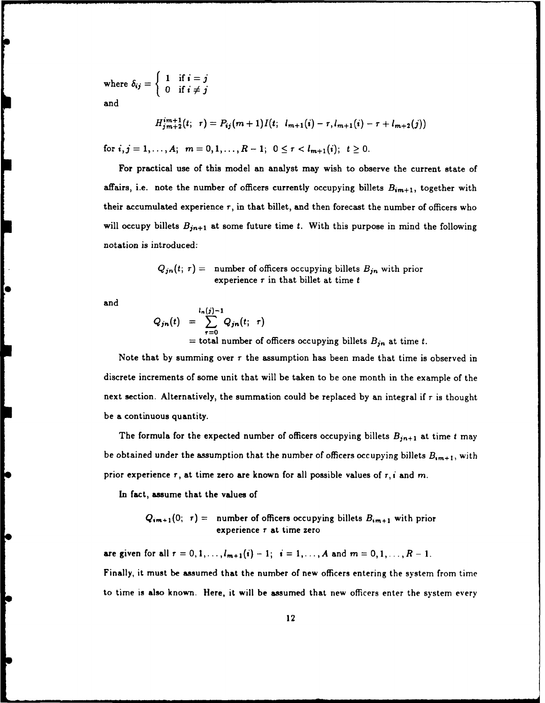where  $\delta_{ij} = \begin{cases} 1 & \text{if } i = j \\ 0 & \text{if } i \neq j \end{cases}$ and

$$
H_{j,m+1}^{im+1}(t; \tau) = P_{ij}(m+1)I(t; l_{m+1}(i) - \tau, l_{m+1}(i) - \tau + l_{m+2}(j))
$$

for  $i, j = 1, ..., A;$   $m = 0, 1, ..., R-1;$   $0 \leq r < l_{m+1}(i);$   $t \geq 0.$ 

For practical use of this model an analyst may wish to observe the current state of affairs, i.e. note the number of officers currently occupying billets  $B_{im+1}$ , together with their accumulated experience  $r$ , in that billet, and then forecast the number of officers who will occupy billets  $B_{jn+1}$  at some future time  $t$ . With this purpose in mind the following notation is introduced:

$$
Q_{jn}(t; \tau) = \text{ number of officers occupying billets } B_{jn} \text{ with prior}
$$
  
experience  $\tau$  in that billet at time  $t$ 

and

$$
Q_{jn}(t) = \sum_{\tau=0}^{l_n(j)-1} Q_{jn}(t; \tau)
$$
  
= total number of officers occupying billets  $B_{jn}$  at time t.

Note that by summing over  $r$  the assumption has been made that time is observed in discrete increments of some unit that will be taken to be one month in the example of the next section. Alternatively, the summation could be replaced by an integral if *r* is thought be a continuous quantity.

The formula for the expected number of officers occupying billets  $B_{jn+1}$  at time t may be obtained under the assumption that the number of officers occupying billets  $B_{im+1}$ , with prior experience  $r$ , at time zero are known for all possible values of  $r$ , *i* and m.

In fact, assume that the values of

$$
Q_{im+1}(0; r) =
$$
 number of officers occupying billets  $B_{im+1}$  with prior  
experience r at time zero

are given for all  $r = 0, 1, ..., l_{m+1}(i) - 1$ ;  $i = 1, ..., A$  and  $m = 0, 1, ..., R - 1$ .

Finally, it must be assumed that the number of new officers entering the system from time to time is also known. Here, it will be assumed that new officers enter the system every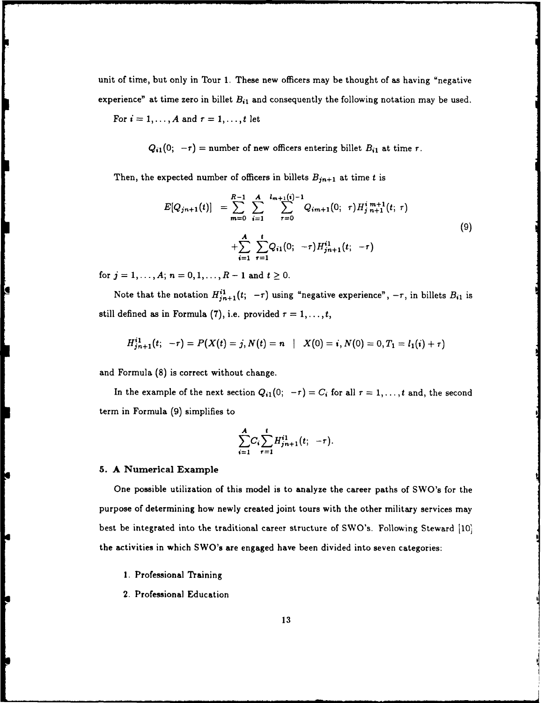unit of time, but only in Tour **1.** These new officers may be thought of as having "negative experience" at time zero in billet  $B_{i1}$  and consequently the following notation may be used. For  $i = 1, ..., A$  and  $\tau = 1, ..., t$  let

 $Q_{i1}(0; -\tau)$  = number of new officers entering billet  $B_{i1}$  at time  $\tau$ .

Then, the expected number of officers in billets  $B_{jn+1}$  at time t is

$$
E[Q_{jn+1}(t)] = \sum_{m=0}^{R-1} \sum_{i=1}^{A} \sum_{\tau=0}^{l_{m+1}(i)-1} Q_{im+1}(0; \tau) H_{j,n+1}^{i,m+1}(t; \tau) + \sum_{i=1}^{A} \sum_{\tau=1}^{t} Q_{i1}(0; -\tau) H_{jn+1}^{i1}(t; -\tau)
$$
\n(9)

*for*  $j = 1, ..., A; n = 0, 1, ..., R-1$  and  $t \ge 0$ .

Note that the notation  $H_{j n+1}^{i 1}(t; -\tau)$  using "negative experience",  $-\tau$ , in billets  $B_{i 1}$  is still defined as in Formula (7), i.e. provided  $\tau = 1, \ldots, t$ ,

$$
H_{jn+1}^{i1}(t; -\tau) = P(X(t) = j, N(t) = n \mid X(0) = i, N(0) = 0, T_1 = l_1(i) + \tau)
$$

and Formula **(8)** is correct without change.

In the example of the next section  $Q_{i1}(0; -\tau) = C_i$  for all  $\tau = 1, \ldots, t$  and, the second term in Formula **(9)** simplifies to

$$
\sum_{i=1}^{A} C_i \sum_{r=1}^{t} H_{jn+1}^{i1}(t; -\tau).
$$

#### **5. A** Numerical Example

Ċ

 $\mathbf{r}$ 

One possible utilization of this model is to analyze the career paths of SWO's for the purpose of determining how newly created joint tours with the other military services may best be integrated into the traditional career structure of SWO's. Following Steward **<sup>110</sup>** the activities in which SWO's are engaged have been divided into seven categories:

- 1. Professional Training
- 2. Professional Education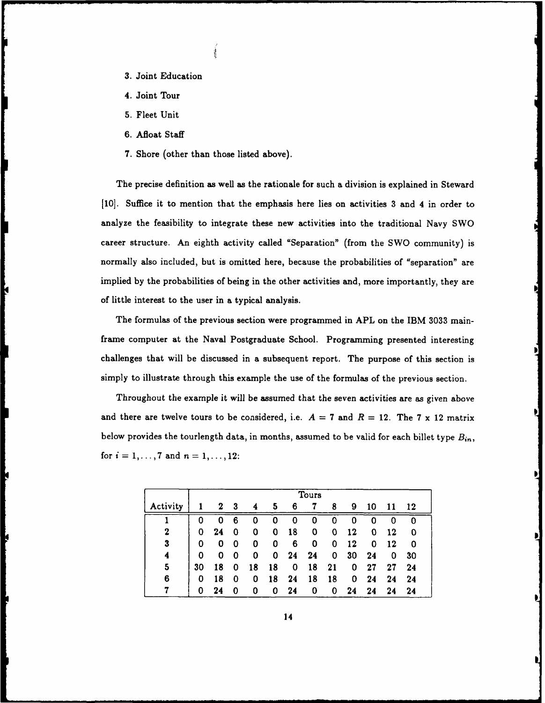- **3.** Joint Education
- 4. Joint Tour
- **5.** Fleet Unit
- **6.** Afloat Staff
- **7.** Shore (other than those listed above).

The precise definition as well as the rationale for such a division is explained in Steward **[10].** Suffice it to mention that the emphasis here lies on activities **3** and 4 in order to analyze the feasibility to integrate these new activities into the traditional Navy SWO career structure. An eighth activity called "Separation" (from the SWO community) is normally also included, but is omitted here, because the probabilities of "separation" are implied **by** the probabilities of being in the other activities and, more importantly, they are of little interest to the user in a typical analysis.

The formulas of the previous section were programmed in APL on the IBM **3033** mainframe computer at the Naval Postgraduate School. Programming presented interesting challenges that will be discussed in a subsequent report. The purpose of this section is simply to illustrate through this example the use of the formulas of the previous section.

Throughout the example it will be assumed that the seven activities are as given above and there are twelve tours to be considered, i.e.  $A = 7$  and  $R = 12$ . The 7 x 12 matrix below provides the tourlength data, in months, assumed to be valid for each billet type *Bin,* for  $i = 1, ..., 7$  and  $n = 1, ..., 12$ :

|                  | Tours |    |   |    |    |    |    |    |    |    |    |    |
|------------------|-------|----|---|----|----|----|----|----|----|----|----|----|
| Activity         |       | 2  | 3 | 4  | 5  | 6  | 7  | 8  | 9  | 10 | 11 | 12 |
|                  | 0     | 0  | 6 | 0  | 0  | 0  | 0  |    | 0  | Ω  | 0  | 0  |
| 2                | 0     | 24 | 0 | 0  | 0  | 18 | 0  | 0  | 12 | 0  | 12 | 0  |
| $\boldsymbol{3}$ | 0     | 0  | 0 | 0  | 0  | 6  | 0  | 0  | 12 | 0  | 12 | 0  |
| 4                | 0     | 0  | 0 | 0  | 0  | 24 | 24 | 0  | 30 | 24 | 0  | 30 |
| 5                | 30    | 18 | 0 | 18 | 18 | 0  | 18 | 21 | 0  | 27 | 27 | 24 |
| 6                | 0     | 18 | 0 | 0  | 18 | 24 | 18 | 18 | 0  | 24 | 24 | 24 |
|                  | 0     | 24 |   | 0  | 0  | 24 | 0  | 0  | 24 | 24 | 24 | 24 |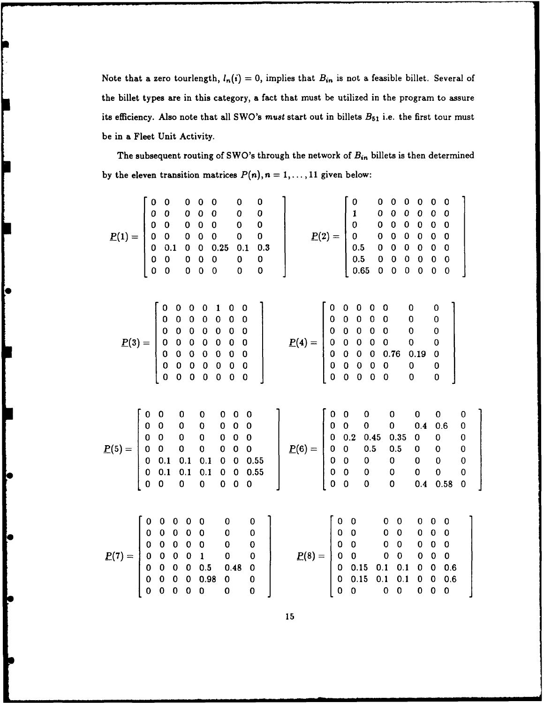Note that a zero tourlength,  $l_n(i) = 0$ , implies that  $B_{in}$  is not a feasible billet. Several of the billet types are in this category, a fact that must be utilized in the program to assure its efficiency. Also note that all SWO's *must* start out in billets *B5 <sup>1</sup>*i.e. the first tour must be in a Fleet Unit Activity.

The subsequent routing of SWO's through the network of  $B_{in}$  billets is then determined by the eleven transition matrices  $P(n)$ ,  $n = 1, \ldots, 11$  given below:

lo

lC

**ic** 

|                                                                                                                                                                                                                                                                | $\underline{P}(1) = \begin{bmatrix} 0 & 0 & 0 & 0 & 0 & 0 & 0 \ 0 & 0 & 0 & 0 & 0 & 0 & 0 \ 0 & 0 & 0 & 0 & 0 & 0 & 0 \ 0 & 0 & 0 & 0 & 0 & 0 & 0 \ 0 & 0.1 & 0 & 0 & 0.25 & 0.1 & 0.3 \ 0 & 0 & 0 & 0 & 0 & 0 & 0 \ 0 & 0 & 0 & 0 & 0 & 0 & 0 \end{bmatrix}$<br>$\begin{bmatrix} 0.1 & 0.3 \\ 0 & 0 \\ 0 & 0 \end{bmatrix}$ | $\underline{P(2)} = \begin{bmatrix} 0 & 0 & 0 & 0 & 0 & 0 & 0 \ 1 & 0 & 0 & 0 & 0 & 0 & 0 \ 0 & 0 & 0 & 0 & 0 & 0 & 0 \ 0 & 0 & 0 & 0 & 0 & 0 & 0 \ 0.5 & 0 & 0 & 0 & 0 & 0 & 0 \ 0.5 & 0 & 0 & 0 & 0 & 0 & 0 \ 0.65 & 0 & 0 & 0 & 0 & 0 & 0 \end{bmatrix}$                                                                          |  |                                                                                                  |
|----------------------------------------------------------------------------------------------------------------------------------------------------------------------------------------------------------------------------------------------------------------|------------------------------------------------------------------------------------------------------------------------------------------------------------------------------------------------------------------------------------------------------------------------------------------------------------------------------|--------------------------------------------------------------------------------------------------------------------------------------------------------------------------------------------------------------------------------------------------------------------------------------------------------------------------------------|--|--------------------------------------------------------------------------------------------------|
|                                                                                                                                                                                                                                                                |                                                                                                                                                                                                                                                                                                                              |                                                                                                                                                                                                                                                                                                                                      |  |                                                                                                  |
|                                                                                                                                                                                                                                                                |                                                                                                                                                                                                                                                                                                                              | $\underline{P}(5)=\begin{bmatrix} 0 & 0 & 0 & 0 & 0 & 0 & 0 & 0 \ 0 & 0 & 0 & 0 & 0 & 0 & 0 & 0 \ 0 & 0 & 0 & 0 & 0 & 0 & 0 & 0 \ 0 & 0 & 0 & 0 & 0 & 0 & 0 & 0 \ 0 & 0.1 & 0.1 & 0.1 & 0 & 0 & 0.55 \ 0 & 0 & 0 & 0 & 0 & 0 & 0 & 0 \ 0 & 0 & 0 & 0 & 0 & 0 & 0 \ 0 & 0 & 0 & 0 & 0 & 0 & 0 \ \end{bmatrix}\quad \underline{P}(6)=$ |  | $\mathbf 0$<br>$\mathbf 0$<br>$\begin{bmatrix} 0 \\ 0 \\ 0 \\ 0 \end{bmatrix}$<br>$\overline{0}$ |
| $\pmb{0}$<br>$\overline{\mathbf{0}}$<br>$\mathbf 0$<br>$\underline{P(7)} = \begin{bmatrix} 0 & 0 & 0 & 0 & 0 \\ 0 & 0 & 0 & 0 & 0 \\ 0 & 0 & 0 & 0 & 0 \\ 0 & 0 & 0 & 0 & 1 \\ 0 & 0 & 0 & 0 & 0.5 \\ 0 & 0 & 0 & 0 & 0.98 \\ 0 & 0 & 0 & 0 & 0 \end{bmatrix}$ | $\mathbf 0$<br>$\bf{0}$<br>$\begin{array}{cccc} & 0 & 0 & 0 \ & 0 & 0 & 0 \ & 0 & 0 & 0 \ & 5 & 0.48 & 0 \ 98 & 0 & 0 & 0 \ & 0 & 0 & 0 \end{array}$                                                                                                                                                                         | $\underline{P}(8) = \begin{bmatrix} 0 & 0 & 0 & 0 & 0 & 0 & 0 \ 0 & 0 & 0 & 0 & 0 & 0 & 0 \ 0 & 0 & 0 & 0 & 0 & 0 & 0 \ 0 & 0 & 0 & 0 & 0 & 0 & 0 \ 0 & 0.15 & 0.1 & 0.1 & 0 & 0 & 0.6 \ 0 & 0 & 0 & 0 & 0 & 0 & 0 \end{bmatrix}$                                                                                                    |  |                                                                                                  |

**15**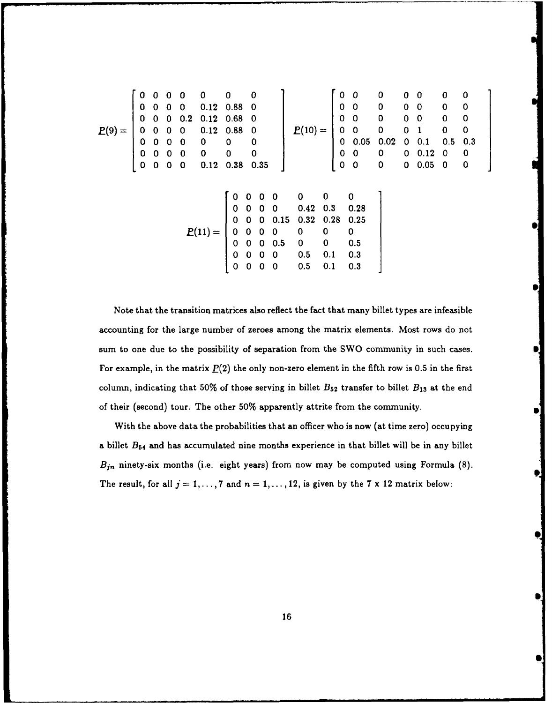|          | 0           | $\bf{0}$    | $\mathbf 0$             | $\mathbf 0$              | 0                       | 0           | $\bf{0}$                 |                         |                                                                    |                                  |            | $\pmb{0}$   | $\bf{0}$                                                                 | $\bf{0}$                                    | 0           | $\mathbf{0}$            | 0           | $\bf{0}$                |
|----------|-------------|-------------|-------------------------|--------------------------|-------------------------|-------------|--------------------------|-------------------------|--------------------------------------------------------------------|----------------------------------|------------|-------------|--------------------------------------------------------------------------|---------------------------------------------|-------------|-------------------------|-------------|-------------------------|
|          | 0           | 0           | $\mathbf 0$             | $\bf{0}$                 | 0.12                    | 0.88        | - 0                      |                         |                                                                    |                                  |            | $\pmb{0}$   | $\bf{0}$                                                                 | $\mathbf 0$                                 | $\bf{0}$    | $\overline{\mathbf{0}}$ | $\pmb{0}$   | $\mathbf 0$             |
|          | 0           | $\Omega$    | 0                       | 0.2                      | $0.12 \quad 0.68$       |             | - 0                      |                         |                                                                    |                                  |            | $\mathbf 0$ | $\pmb{0}$                                                                |                                             | $\pmb{0}$   | $\overline{\mathbf{0}}$ | $\pmb{0}$   | $\overline{\mathbf{0}}$ |
| $P(9) =$ | 0           | $\mathbf 0$ | $\bf{0}$                | $\overline{\mathbf{0}}$  | $0.12$ 0.88             |             | $\overline{\mathbf{0}}$  |                         |                                                                    | $P(10) =$                        |            | $\mathbf 0$ | $\bf{0}$                                                                 | $\begin{smallmatrix}0\0\0\end{smallmatrix}$ | $\mathbf 0$ | $\mathbf{1}$            | $\pmb{0}$   | $\bf{0}$                |
|          | 0           | $\bf{0}$    | $0\quad 0$              |                          | $\bf{0}$                | 0           | $\bf{0}$                 |                         |                                                                    |                                  |            |             |                                                                          | 0.02                                        | 0           | 0.1                     | 0.5         | 0.3                     |
|          | $\pmb{0}$   | 0           | $\overline{\mathbf{0}}$ | $\overline{\phantom{0}}$ | $\overline{\mathbf{0}}$ | $\mathbf 0$ | $\overline{\phantom{0}}$ |                         |                                                                    |                                  |            |             |                                                                          |                                             | $\bf{0}$    | 0.12                    | 0           | 0                       |
|          | $\mathbf 0$ | 0           | $\mathbf 0$             | $\mathbf 0$              | 0.12                    | 0.38        |                          | 0.35                    |                                                                    |                                  |            |             | $\left[\begin{array}{ccc} 0 & \ldots \ 0 & 0 \ 0 & 0 \end{array}\right]$ | $\begin{array}{c} 0 \\ 0 \end{array}$       | $\mathbf 0$ | 0.05                    | $\mathbf 0$ | 0                       |
|          |             |             |                         |                          |                         |             |                          |                         |                                                                    |                                  |            |             |                                                                          |                                             |             |                         |             |                         |
|          |             |             |                         |                          |                         |             |                          |                         |                                                                    |                                  |            |             |                                                                          |                                             |             |                         |             |                         |
|          |             |             |                         |                          |                         | $\bf{0}$    | $\bf{0}$                 | $0\quad 0$              |                                                                    | $\overline{\mathbf{0}}$          | 0          |             | 0                                                                        |                                             |             |                         |             |                         |
|          |             |             |                         |                          |                         | $0\quad 0$  |                          | $0\quad 0$              |                                                                    | 0.42                             | 0.3        |             | 0.28                                                                     |                                             |             |                         |             |                         |
|          |             |             |                         |                          |                         | $\mathbf 0$ | $\bf{0}$                 | $\overline{\mathbf{0}}$ | 0.15                                                               | 0.32                             | 0.28       |             | 0.25                                                                     |                                             |             |                         |             |                         |
|          |             |             |                         |                          | $P(11) =$               |             |                          |                         | $\begin{array}{cccc} 0 & 0 & 0 & 0 \\ 0 & 0 & 0 & 0.5 \end{array}$ |                                  |            |             | 0                                                                        |                                             |             |                         |             |                         |
|          |             |             |                         |                          |                         |             |                          |                         |                                                                    | $\begin{matrix}0\\0\end{matrix}$ | $0$<br>$0$ |             | 0.5                                                                      |                                             |             |                         |             |                         |
|          |             |             |                         |                          |                         | $\mathbf 0$ | $\mathbf 0$              | $\overline{\mathbf{0}}$ | $\overline{\mathbf{0}}$                                            | 0.5                              | 0.1        |             | 0.3                                                                      |                                             |             |                         |             |                         |
|          |             |             |                         |                          |                         | $\mathbf 0$ | $\mathbf 0$              | $\mathbf 0$             | $\overline{\mathbf{0}}$                                            | 0.5                              | 0.1        |             | 0.3                                                                      |                                             |             |                         |             |                         |

Note that the transition matrices also reflect the fact that many billet types are infeasible accounting for the large number of zeroes among the matrix elements. Most rows do not sum to one due to the possibility of separation from the SWO community in such cases. For example, in the matrix  $\underline{P}(2)$  the only non-zero element in the fifth row is 0.5 in the first column, indicating that  $50\%$  of those serving in billet  $B_{52}$  transfer to billet  $B_{13}$  at the end of their (second) tour. The other **50%** apparently attrite from the community.

With the above data the probabilities that an officer who is now (at time zero) occupying a billet **B64** and has accumulated nine months experience in that billet will be in any billet *B<sub>jn</sub>* ninety-six months (i.e. eight years) from now may be computed using Formula (8). The result, for all  $j = 1, ..., 7$  and  $n = 1, ..., 12$ , is given by the 7 x 12 matrix below: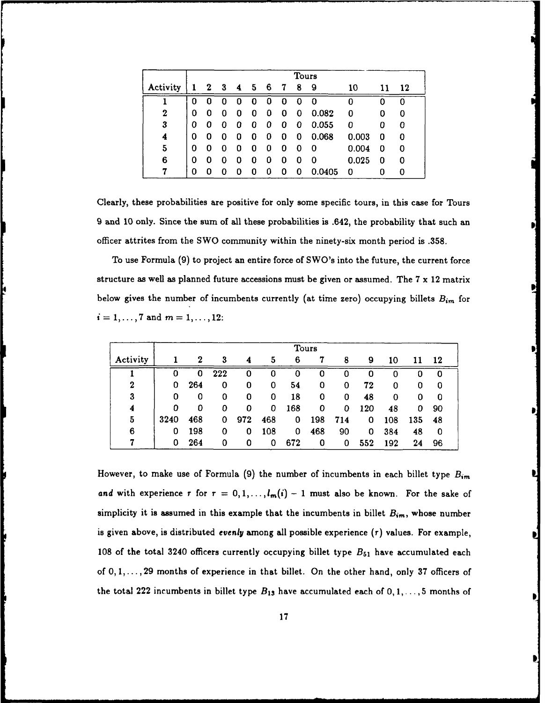|                  |   | Tours |             |                         |       |   |   |   |        |          |    |    |
|------------------|---|-------|-------------|-------------------------|-------|---|---|---|--------|----------|----|----|
| Activity         | 1 |       | $2 \quad 3$ | $\overline{\mathbf{4}}$ | $5 -$ | 6 | 7 | 8 | 9      | 10       | 11 | 12 |
|                  | 0 | 0     |             | O                       | 0     | 0 | 0 | 0 | 0      |          |    | 0  |
| $\boldsymbol{2}$ | 0 | 0     | O           | 0                       | 0     | 0 | 0 | 0 | 0.082  | $\Omega$ | 0  | 0  |
| 3                | 0 | O     | 0           | 0                       | 0     | 0 | 0 | 0 | 0.055  | 0        | 0  | 0  |
| 4                | Ω | 0     | O           | 0                       | 0     | 0 | 0 | 0 | 0.068  | 0.003    | 0  | 0  |
| 5                | 0 | 0     | 0           | 0                       | 0     | 0 | 0 | Ω | 0      | 0.004    | 0  | 0  |
| 6                | 0 | O     |             | 0                       | 0     | 0 | 0 | O | 0      | 0.025    | 0  | 0  |
|                  | 0 | O     |             | n                       | n     | Ω | O | 0 | 0.0405 | 0        |    | 0  |

Clearly, these probabilities are positive for only some specific tours, in this case for Tours 9 and **10** only. Since the sum of all these probabilities is .642, the probability that such an officer attrites from the SWO community within the ninety-six month period is **.358.**

To use Formula (9) to project an entire force of SWO's into the future, the current force structure as well as planned future accessions must be given or assumed. The **7** x 12 matrix below gives the number of incumbents currently (at time zero) occupying billets *Bim* for  $i = 1, ..., 7$  and  $m = 1, ..., 12$ :

|                  |      |     |     |     |     |     | Tours |     |     |     |     |    |  |
|------------------|------|-----|-----|-----|-----|-----|-------|-----|-----|-----|-----|----|--|
| Activity         |      | 2   | 3   | 4   | 5   | 6   | 7     | 8   | 9   | 10  | 11  | 12 |  |
|                  | 0    | 0   | 222 | 0   | 0   | 0   | 0     |     | 0   |     |     | 0  |  |
| $\boldsymbol{2}$ | 0    | 264 | 0   | 0   | 0   | 54  | 0     | 0   | 72  | 0   |     | 0  |  |
| 3                | 0    | 0   | 0   | 0   | 0   | 18  | 0     | 0   | 48  | 0   | 0   | 0  |  |
| 4                | 0    | 0   | 0   | 0   | 0   | 168 | 0     | 0   | 120 | 48  | 0   | 90 |  |
| 5                | 3240 | 468 | 0   | 972 | 468 | 0   | 198   | 714 | 0   | 108 | 135 | 48 |  |
| 6                | 0    | 198 | 0   | 0   | 108 | 0   | 468   | 90  | 0   | 384 | 48  | 0  |  |
|                  | 0    | 264 | 0   | 0   | 0   | 672 | 0     | 0   | 552 | 192 | 24  | 96 |  |

However, to make use of Formula (9) the number of incumbents in each billet type *Bi, and* with experience  $r$  for  $r = 0, 1, \ldots, l_m(i) - 1$  must also be known. For the sake of simplicity it is assumed in this example that the incumbents in billet  $B_{im}$ , whose number is given above, is distributed *evenly* among **all** possible experience *(r)* values. For example, **108** of the total 3240 officers currently occupying billet type *B61* have accumulated each of **0, 1,... 29** months of experience in that billet. On the other hand, only **37** officers of the total 222 incumbents in billet type  $B_{13}$  have accumulated each of  $0, 1, \ldots, 5$  months of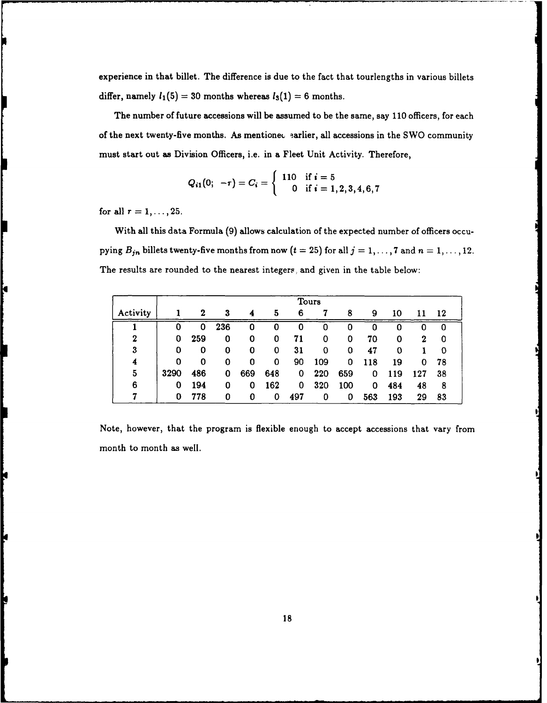experience in that billet. The difference is due to the fact that tourlengths in various billets differ, namely  $l_1(5) = 30$  months whereas  $l_3(1) = 6$  months.

The number of future accessions will be assumed to be the same, say 110 officers, for each of the next twenty-five months. As mentione. earlier, all accessions in the SWO community must start out as Division Officers, i.e. in a Fleet Unit Activity. Therefore,

$$
Q_{i1}(0; -\tau) = C_i = \left\{ \begin{array}{cl} 110 & \text{if } i = 5 \\ 0 & \text{if } i = 1, 2, 3, 4, 6, 7 \end{array} \right.
$$

for all  $r = 1, ..., 25$ .

P

With all this data Formula **(9)** allows calculation of the expected number of officers occupying  $B_{jn}$  billets twenty-five months from now  $(t = 25)$  for all  $j = 1, ..., 7$  and  $n = 1, ..., 12$ . The results are rounded to the nearest integers, and given in the table below:

|          |      |     |     |     |     |     | Tours |     |     |     |     |     |
|----------|------|-----|-----|-----|-----|-----|-------|-----|-----|-----|-----|-----|
| Activity |      | 2   | 3   | 4   | 5   | 6   | 7     | 8   | 9   | 10  | 11  | -12 |
|          | 0    | O   | 236 | 0   | 0   | 0   | 0     | 0   | 0   |     |     | 0   |
| $\bf{2}$ | 0    | 259 | 0   | 0   | 0   | 71  | 0     | 0   | 70  | 0   | 2   | 0   |
| 3        | 0    | 0   | 0   | 0   | 0   | 31  | 0     | 0   | 47  | 0   |     | O   |
| 4        | 0    | 0   | 0   | 0   | 0   | 90  | 109   | 0   | 118 | 19  | 0   | 78  |
| 5        | 3290 | 486 | 0   | 669 | 648 | 0   | 220   | 659 | 0   | 119 | 127 | 38  |
| 6        | 0    | 194 | 0   | 0   | 162 | 0   | 320   | 100 | 0   | 484 | 48  | 8   |
|          | 0    | 778 | 0   | 0   | 0   | 497 | 0     | 0   | 563 | 193 | 29  | 83  |

Note, however, that the program is flexible enough to accept accessions that vary from month to month as well.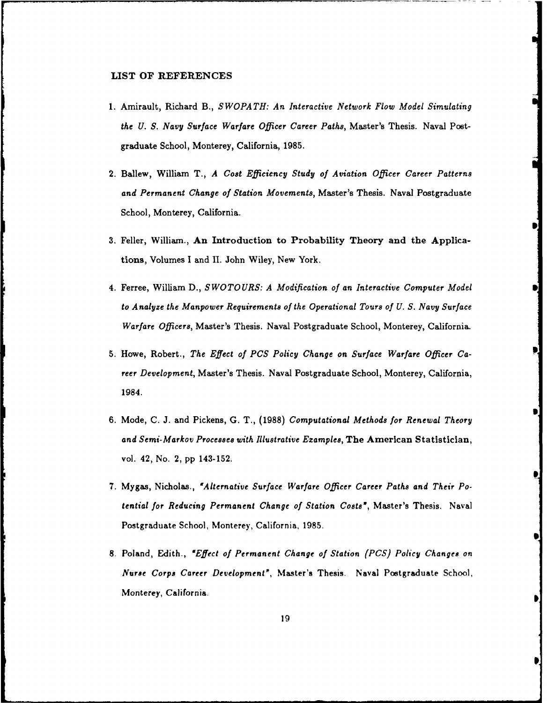#### LIST **OF REFERENCES**

- **1.** Amirault, Richard B., *SWOPATH: An Interactive Network Flow Model Simulating the U. S. Navy Surface Warfare Officer Career Paths,* Master's Thesis. Naval Postgraduate School, Monterey, California, 1985.
- 2. Ballew, William T., *A Cost Efficiency Study of Aviation Officer Career Patterns and Permanent Change of Station Movements,* Master's Thesis. Naval Postgraduate School, Monterey, California.
- **3.** Feller, William., An Introduction to Probability Theory and the Applications, Volumes I and II. John Wiley, New York.
- 4. Ferree, William **D.,** *SWOTOURS: A Modification of an Interactive Computer Model to Analyze the Manpower Requirements of the Operational Tours of U. S. Navy Surface Warfare Officers,* Master's Thesis. Naval Postgraduate School, Monterey, California.
- 5. Howe, Robert., *The Effect of PCS Policy Change on Surface Warfare Officer Career Development,* Master's Thesis. Naval Postgraduate School, Monterey, California, 1984.
- 6. Mode, C. J. and Pickens, **G.** T., **(1988)** *Computational Methods for Renewal Theory and Semi-Markov Processes with Illustrative Ezamples,* The American Statistician, vol. 42, No. 2, pp 143-152.
- **7.** Mygas, Nicholas., *'Alternative Surface Warfare Officer Career Paths and Their Potential for Reducing Permanent Change of Station Costs',* Master's Thesis. Naval Postgraduate School, Monterey, California, 1985.
- **8.** Poland, Edith., *'Effect of Permanent Change of Station (PCS) Policy Changes on Nurse Corps Career Development',* Master's Thesis. Naval Postgraduate School, Monterey, California.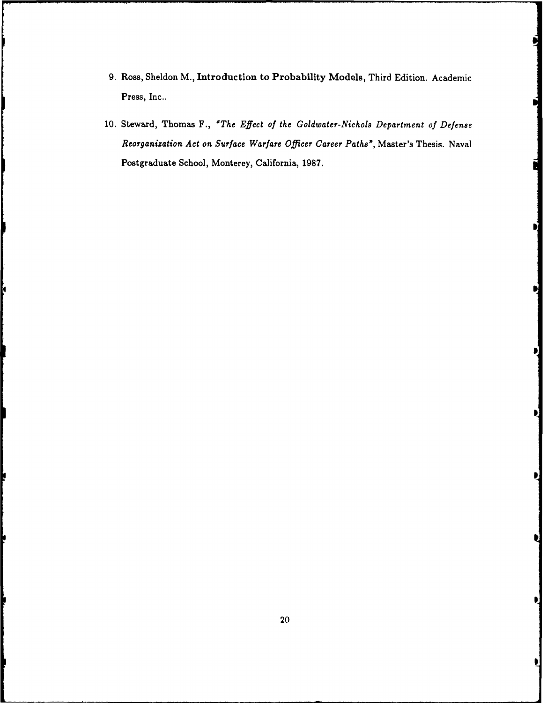- **9.** Ross, Sheldon M., Introduction to Probability Models, Third Edition. Academic Press, Inc..
- 10. Steward, Thomas F., *"The Effect of the Goldwater-Nichols Department of Defense Reorganization Act on Surface Warfare* Officer Career *Paths",* Master's Thesis. Naval Postgraduate School, Monterey, California, 1987.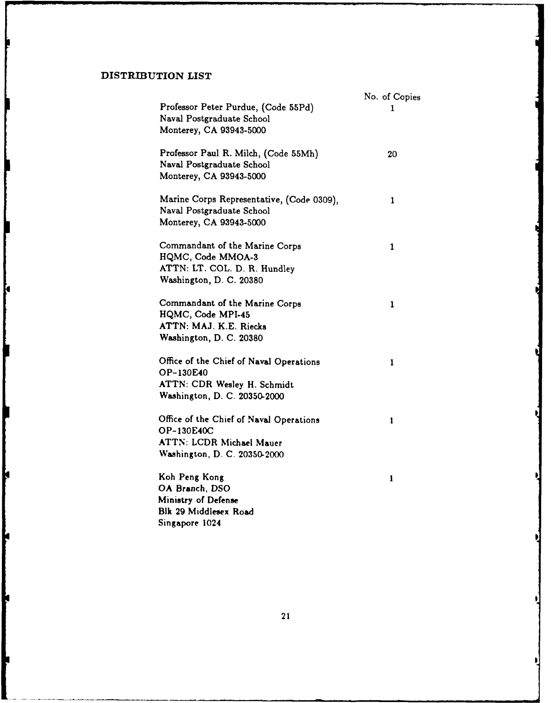### **DISTRIBUTION LIST**

Ю

Ň

K

k

| Professor Peter Purdue, (Code 55Pd)                                                                                      | No. of Copies<br>1 |
|--------------------------------------------------------------------------------------------------------------------------|--------------------|
| Naval Postgraduate School<br>Monterey, CA 93943-5000                                                                     |                    |
| Professor Paul R. Milch, (Code 55Mh)<br>Naval Postgraduate School<br>Monterey, CA 93943-5000                             | 20                 |
| Marine Corps Representative, (Code 0309),<br>Naval Postgraduate School<br>Monterey, CA 93943-5000                        | 1                  |
| Commandant of the Marine Corps<br>HQMC, Code MMOA-3<br>ATTN: LT. COL. D. R. Hundley<br>Washington, D. C. 20380           | 1                  |
| Commandant of the Marine Corps<br>HQMC, Code MPI-45<br>ATTN: MAJ. K.E. Riecks<br>Washington, D. C. 20380                 | 1                  |
| Office of the Chief of Naval Operations<br>OP-130E40<br>ATTN: CDR Wesley H. Schmidt<br>Washington, D. C. 20350-2000      | 1                  |
| Office of the Chief of Naval Operations<br>OP-130E40C<br><b>ATTN: LCDR Michael Mauer</b><br>Washington, D. C. 20350-2000 | 1                  |
| Koh Peng Kong<br>OA Branch, DSO<br>Ministry of Defense<br>Blk 29 Middlesex Road<br>Singapore 1024                        | 1                  |

21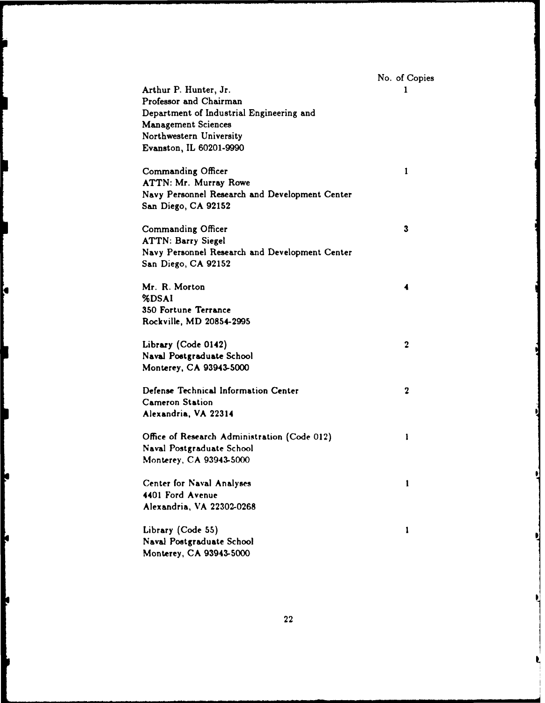|                                                | No. of Copies    |
|------------------------------------------------|------------------|
| Arthur P. Hunter, Jr.                          | 1                |
| Professor and Chairman                         |                  |
| Department of Industrial Engineering and       |                  |
| <b>Management Sciences</b>                     |                  |
| Northwestern University                        |                  |
| Evanston, IL 60201-9990                        |                  |
| Commanding Officer                             | 1                |
| ATTN: Mr. Murray Rowe                          |                  |
| Navy Personnel Research and Development Center |                  |
| San Diego, CA 92152                            |                  |
| Commanding Officer                             | 3                |
| <b>ATTN: Barry Siegel</b>                      |                  |
| Navy Personnel Research and Development Center |                  |
| San Diego, CA 92152                            |                  |
| Mr. R. Morton                                  | 4                |
| %DSAI                                          |                  |
| 350 Fortune Terrance                           |                  |
| Rockville, MD 20854-2995                       |                  |
| Library (Code 0142)                            | $\boldsymbol{2}$ |
| Naval Postgraduate School                      |                  |
| Monterey, CA 93943-5000                        |                  |
| Defense Technical Information Center           | $\mathbf 2$      |
| <b>Cameron Station</b>                         |                  |
| Alexandria, VA 22314                           |                  |
| Office of Research Administration (Code 012)   | 1                |
| Naval Postgraduate School                      |                  |
| Monterey, CA 93943-5000                        |                  |
| Center for Naval Analyses                      | 1                |
| 4401 Ford Avenue                               |                  |
| Alexandria, VA 22302-0268                      |                  |
| Library (Code 55)                              | 1                |
| Naval Postgraduate School                      |                  |
| Monterey, CA 93943-5000                        |                  |
|                                                |                  |

İ.

þ

þ

ŀ